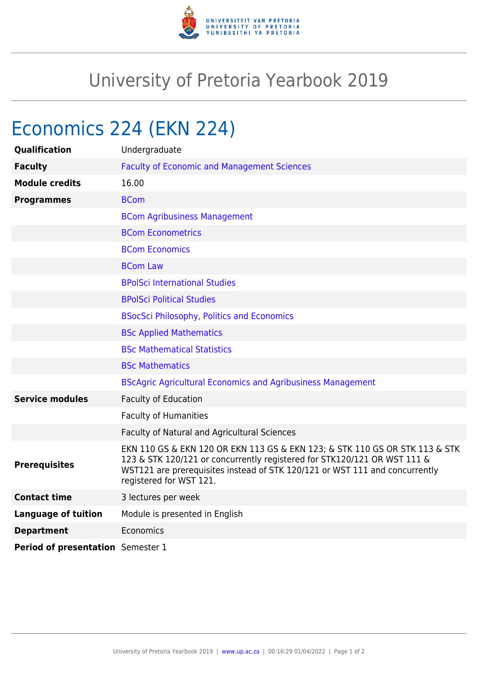

## University of Pretoria Yearbook 2019

## Economics 224 (EKN 224)

| <b>Qualification</b>              | Undergraduate                                                                                                                                                                                                                                                     |
|-----------------------------------|-------------------------------------------------------------------------------------------------------------------------------------------------------------------------------------------------------------------------------------------------------------------|
| <b>Faculty</b>                    | <b>Faculty of Economic and Management Sciences</b>                                                                                                                                                                                                                |
| <b>Module credits</b>             | 16.00                                                                                                                                                                                                                                                             |
| <b>Programmes</b>                 | <b>BCom</b>                                                                                                                                                                                                                                                       |
|                                   | <b>BCom Agribusiness Management</b>                                                                                                                                                                                                                               |
|                                   | <b>BCom Econometrics</b>                                                                                                                                                                                                                                          |
|                                   | <b>BCom Economics</b>                                                                                                                                                                                                                                             |
|                                   | <b>BCom Law</b>                                                                                                                                                                                                                                                   |
|                                   | <b>BPolSci International Studies</b>                                                                                                                                                                                                                              |
|                                   | <b>BPolSci Political Studies</b>                                                                                                                                                                                                                                  |
|                                   | <b>BSocSci Philosophy, Politics and Economics</b>                                                                                                                                                                                                                 |
|                                   | <b>BSc Applied Mathematics</b>                                                                                                                                                                                                                                    |
|                                   | <b>BSc Mathematical Statistics</b>                                                                                                                                                                                                                                |
|                                   | <b>BSc Mathematics</b>                                                                                                                                                                                                                                            |
|                                   | <b>BScAgric Agricultural Economics and Agribusiness Management</b>                                                                                                                                                                                                |
| <b>Service modules</b>            | <b>Faculty of Education</b>                                                                                                                                                                                                                                       |
|                                   | <b>Faculty of Humanities</b>                                                                                                                                                                                                                                      |
|                                   | Faculty of Natural and Agricultural Sciences                                                                                                                                                                                                                      |
| <b>Prerequisites</b>              | EKN 110 GS & EKN 120 OR EKN 113 GS & EKN 123; & STK 110 GS OR STK 113 & STK<br>123 & STK 120/121 or concurrently registered for STK120/121 OR WST 111 &<br>WST121 are prerequisites instead of STK 120/121 or WST 111 and concurrently<br>registered for WST 121. |
| <b>Contact time</b>               | 3 lectures per week                                                                                                                                                                                                                                               |
| <b>Language of tuition</b>        | Module is presented in English                                                                                                                                                                                                                                    |
| <b>Department</b>                 | Economics                                                                                                                                                                                                                                                         |
| Period of presentation Semester 1 |                                                                                                                                                                                                                                                                   |